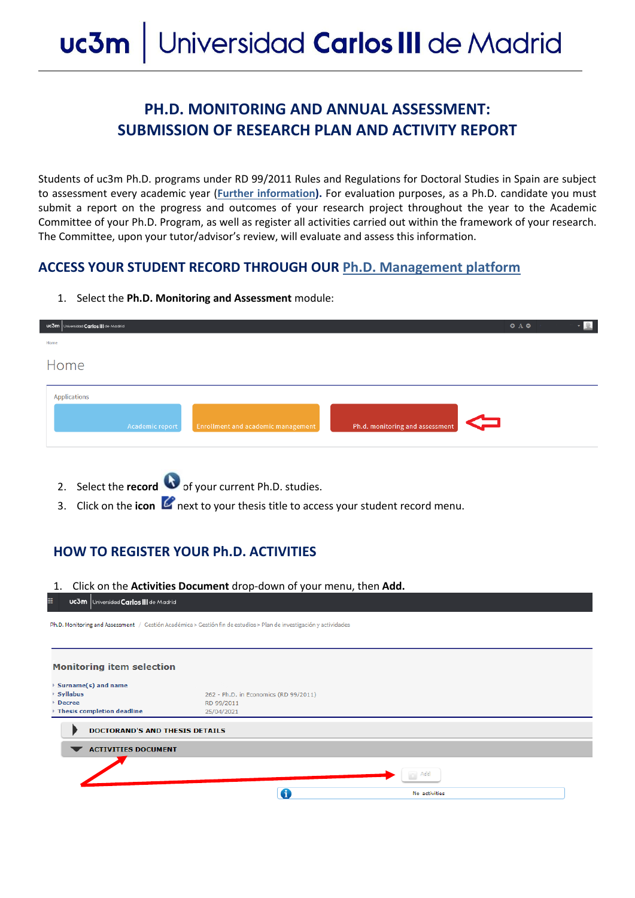# **PH.D. MONITORING AND ANNUAL ASSESSMENT: SUBMISSION OF RESEARCH PLAN AND ACTIVITY REPORT**

Students of uc3m Ph.D. programs under RD 99/2011 Rules and Regulations for Doctoral Studies in Spain are subject to assessment every academic year (**[Further information\).](http://www.uc3m.es/ss/Satellite/Doctorado/ES/TextoMixta/1371211276999/)** For evaluation purposes, as a Ph.D. candidate you must submit a report on the progress and outcomes of your research project throughout the year to the Academic Committee of your Ph.D. Program, as well as register all activities carried out within the framework of your research. The Committee, upon your tutor/advisor's review, will evaluate and assess this information.

#### **ACCESS YOUR STUDENT RECORD THROUGH OUR [Ph.D. Management platform](https://sigma.uc3m.es/cosmos/Controlador/?apl=Uninavs&gu=a&idNav=inicio&NuevaSesionUsuario=true&NombreUsuarioAlumno=ALUMNODOC&idioma=en&pais=GB)**

- a<br>d**ad Carlos III** de Me  $O$   $A$   $O$ Home Annlications
- 1. Select the **Ph.D. Monitoring and Assessment** module:

- 2. Select the **record** of your current Ph.D. studies.
- 3. Click on the **icon P** next to your thesis title to access your student record menu.

## **HOW TO REGISTER YOUR Ph.D. ACTIVITIES**

| UC3m Universidad Carlos III de Madrid                                                 | 1. Click on the Activities Document drop-down of your menu, then Add.                                              |  |
|---------------------------------------------------------------------------------------|--------------------------------------------------------------------------------------------------------------------|--|
|                                                                                       | h.D. Monitoring and Assessment / Gestión Académica > Gestión fin de estudios > Plan de investigación y actividades |  |
|                                                                                       |                                                                                                                    |  |
| Monitoring item selection                                                             |                                                                                                                    |  |
| Surname(s) and name<br><b>Syllabus</b><br><b>Decree</b><br>Thesis completion deadline | 262 - Ph.D. in Economics (RD 99/2011)<br>RD 99/2011<br>25/04/2021                                                  |  |
| DOCTORAND'S AND THESIS DETAILS                                                        |                                                                                                                    |  |
| <b>ACTIVITIES DOCUMENT</b>                                                            |                                                                                                                    |  |
|                                                                                       | Add                                                                                                                |  |
|                                                                                       | 0                                                                                                                  |  |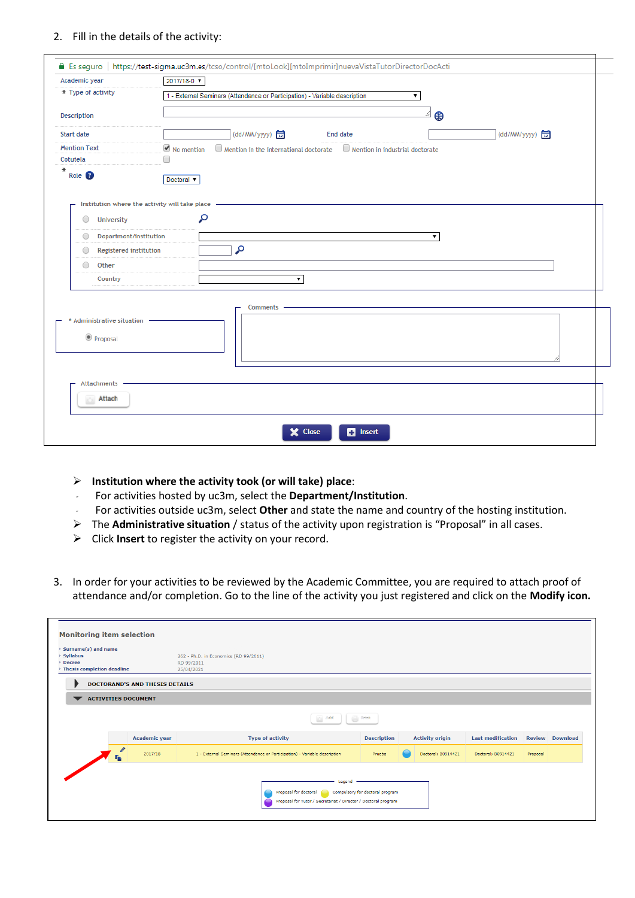#### 2. Fill in the details of the activity:

| Academic year                                  | 2017/18-0 $\times$                                                                                                |
|------------------------------------------------|-------------------------------------------------------------------------------------------------------------------|
| * Type of activity                             | 1 - External Seminars (Attendance or Participation) - Variable description<br>۷.                                  |
| Description                                    | ⊕                                                                                                                 |
| Start date                                     | (dd/MM/yyyy)<br>(dd/MM/yyyy) <mark>급</mark><br>End date                                                           |
| <b>Mention Text</b>                            | $\Box$ Mention in the international doctorate $\Box$ Mention in industrial doctorate<br>$\blacksquare$ No mention |
| Cotutela                                       | □                                                                                                                 |
| ⋇<br>Role <sup>8</sup>                         | Doctoral ▼                                                                                                        |
|                                                |                                                                                                                   |
| Institution where the activity will take place |                                                                                                                   |
| 0<br>University                                | م                                                                                                                 |
| Department/institution<br>0                    | $\pmb{\mathrm{v}}$                                                                                                |
| <b>Registered institution</b>                  | م                                                                                                                 |
| Other<br>0                                     |                                                                                                                   |
| Country                                        | $\pmb{\mathrm{v}}$                                                                                                |
|                                                |                                                                                                                   |
|                                                | Comments -                                                                                                        |
| * Administrative situation                     |                                                                                                                   |
|                                                |                                                                                                                   |
| Proposal                                       |                                                                                                                   |
|                                                |                                                                                                                   |
|                                                |                                                                                                                   |
| <b>Attachments</b>                             |                                                                                                                   |
|                                                |                                                                                                                   |
| Attach                                         |                                                                                                                   |
|                                                |                                                                                                                   |
|                                                |                                                                                                                   |

- **Institution where the activity took (or will take) place**:
- *-* For activities hosted by uc3m, select the **Department/Institution**.
- *-* For activities outside uc3m, select **Other** and state the name and country of the hosting institution.
- The **Administrative situation** / status of the activity upon registration is "Proposal" in all cases.
- Click **Insert** to register the activity on your record.
- 3. In order for your activities to be reviewed by the Academic Committee, you are required to attach proof of attendance and/or completion. Go to the line of the activity you just registered and click on the **Modify icon.**

| ▶ Surname(s) and name<br>▶ Syllabus<br><b>Decree</b><br><b>Thesis completion deadline</b> |                      | 262 - Ph.D. in Economics (RD 99/2011)<br>RD 99/2011<br>25/04/2021          |                    |                        |                          |          |                        |
|-------------------------------------------------------------------------------------------|----------------------|----------------------------------------------------------------------------|--------------------|------------------------|--------------------------|----------|------------------------|
| <b>DOCTORAND'S AND THESIS DETAILS</b>                                                     |                      |                                                                            |                    |                        |                          |          |                        |
| <b>ACTIVITIES DOCUMENT</b>                                                                |                      |                                                                            |                    |                        |                          |          |                        |
|                                                                                           |                      | $\langle \cdot \rangle$ . Add<br>$\Rightarrow$                             | Printin            |                        |                          |          |                        |
|                                                                                           | <b>Academic year</b> | <b>Type of activity</b>                                                    | <b>Description</b> | <b>Activity origin</b> | <b>Last modification</b> |          | <b>Review Download</b> |
| ø<br><b>To</b>                                                                            | 2017/18              | 1 - External Seminars (Attendance or Participation) - Variable description | Prueba             | Doctoral; B0914421     | Doctoral: B0914421       | Proposal |                        |
|                                                                                           |                      | Legend                                                                     |                    |                        |                          |          |                        |
|                                                                                           |                      |                                                                            |                    |                        |                          |          |                        |